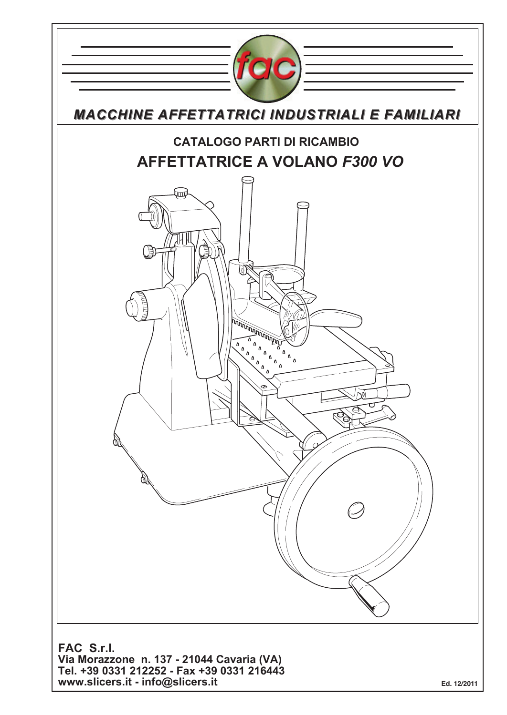

**www.slicers.it - info@slicers.it**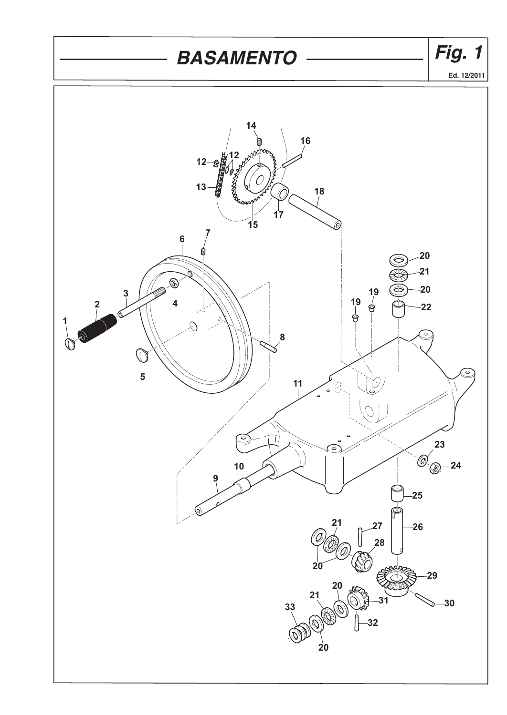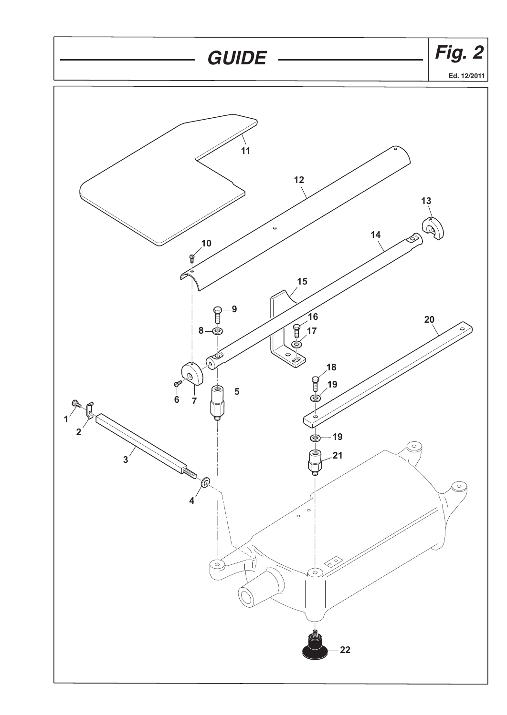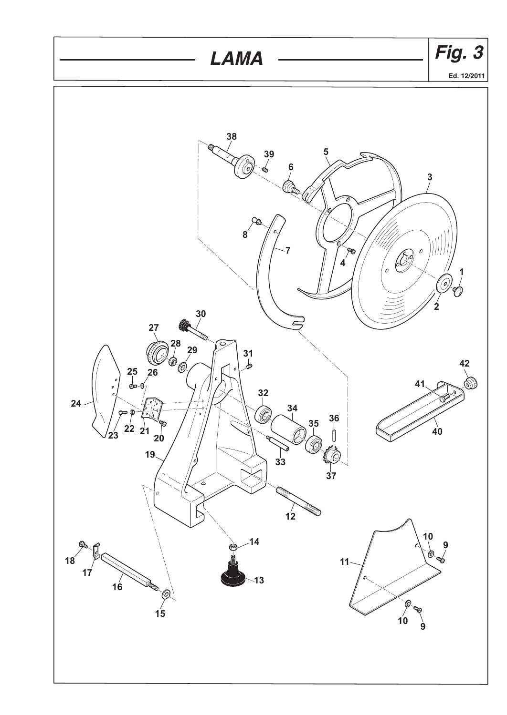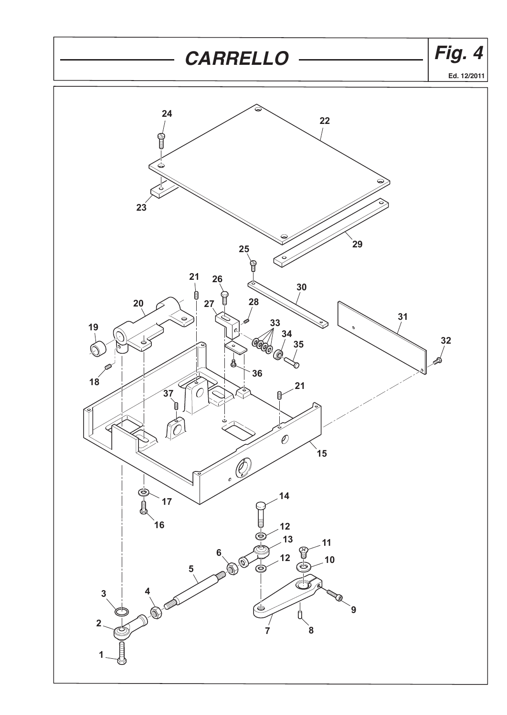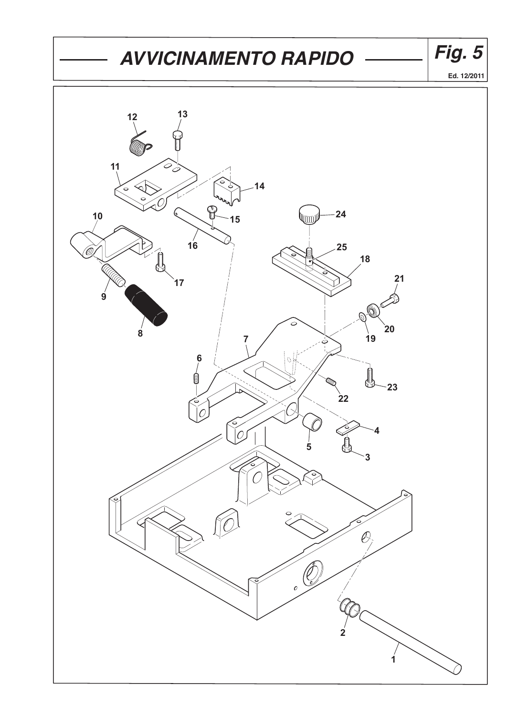## AVVICINAMENTO RAPIDO *Fig. 5*



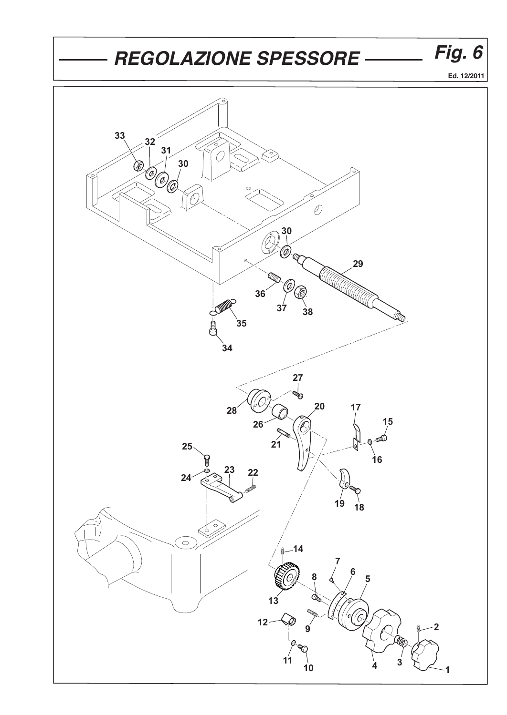## *REGOLAZIONE SPESSORE Fig. 6*



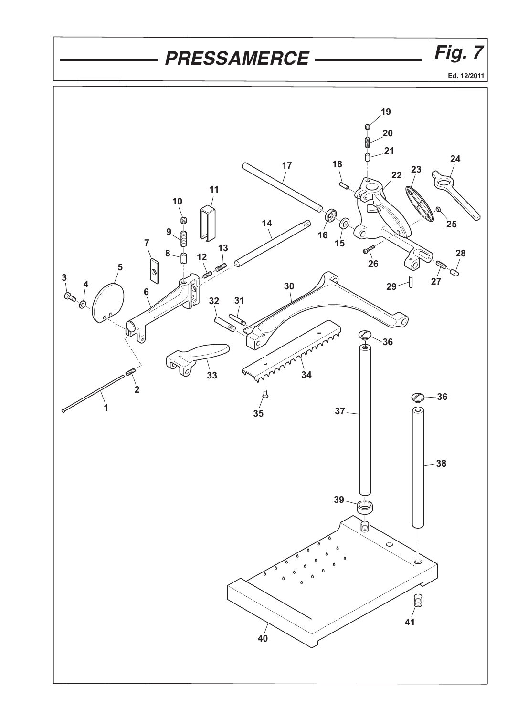## *- PRESSAMERCE ———————— Fig. 7*

**Ed. 12/2011**